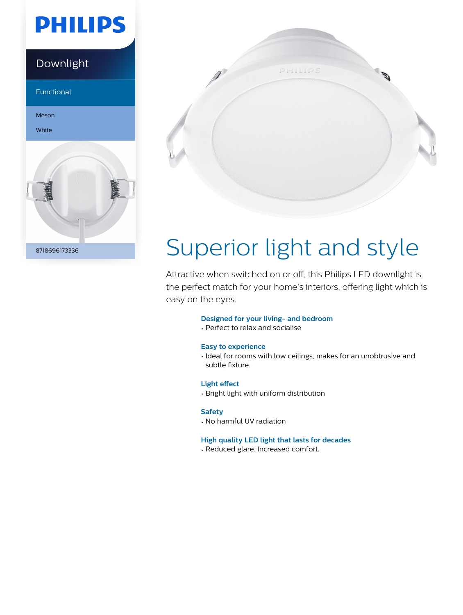## **PHILIPS**

# Downlight Functional Meson White 8718696173336



# Superior light and style

Attractive when switched on or off, this Philips LED downlight is the perfect match for your home's interiors, offering light which is easy on the eyes.

#### **Designed for your living- and bedroom**

• Perfect to relax and socialise

#### **Easy to experience**

• Ideal for rooms with low ceilings, makes for an unobtrusive and subtle fixture.

#### **Light effect**

• Bright light with uniform distribution

#### **Safety**

• No harmful UV radiation

#### **High quality LED light that lasts for decades**

• Reduced glare. Increased comfort.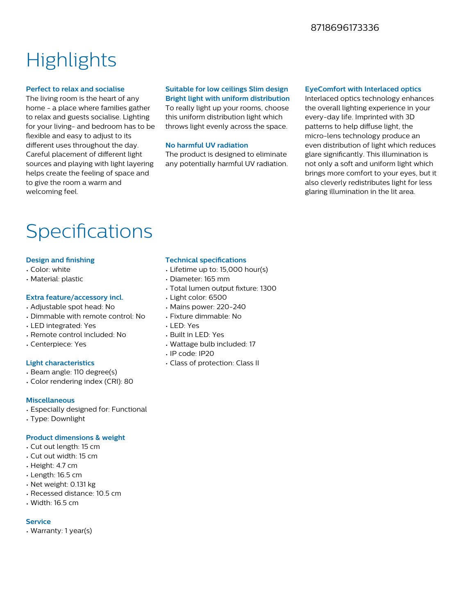#### 8718696173336

### **Highlights**

#### **Perfect to relax and socialise**

The living room is the heart of any home - a place where families gather to relax and guests socialise. Lighting for your living- and bedroom has to be flexible and easy to adjust to its different uses throughout the day. Careful placement of different light sources and playing with light layering helps create the feeling of space and to give the room a warm and welcoming feel.

#### **Suitable for low ceilings Slim design Bright light with uniform distribution** To really light up your rooms, choose

this uniform distribution light which throws light evenly across the space.

#### **No harmful UV radiation**

The product is designed to eliminate any potentially harmful UV radiation.

#### **EyeComfort with Interlaced optics**

Interlaced optics technology enhances the overall lighting experience in your every-day life. Imprinted with 3D patterns to help diffuse light, the micro-lens technology produce an even distribution of light which reduces glare significantly. This illumination is not only a soft and uniform light which brings more comfort to your eyes, but it also cleverly redistributes light for less glaring illumination in the lit area.

### Specifications

#### **Design and finishing**

- Color: white
- Material: plastic

#### **Extra feature/accessory incl.**

- Adjustable spot head: No
- Dimmable with remote control: No
- LED integrated: Yes
- Remote control included: No
- Centerpiece: Yes

#### **Light characteristics**

- Beam angle: 110 degree(s)
- Color rendering index (CRI): 80

#### **Miscellaneous**

- Especially designed for: Functional
- Type: Downlight

#### **Product dimensions & weight**

- Cut out length: 15 cm
- Cut out width: 15 cm
- Height: 4.7 cm
- Length: 16.5 cm
- Net weight: 0.131 kg
- Recessed distance: 10.5 cm
- $\cdot$  Width: 16.5 cm

#### **Service**

• Warranty: 1 year(s)

#### **Technical specifications**

- Lifetime up to: 15,000 hour(s)
- Diameter: 165 mm
- Total lumen output fixture: 1300
- Light color: 6500
- Mains power: 220-240
- Fixture dimmable: No
- LED: Yes
- Built in LED: Yes
- Wattage bulb included: 17
- IP code: IP20
- Class of protection: Class II